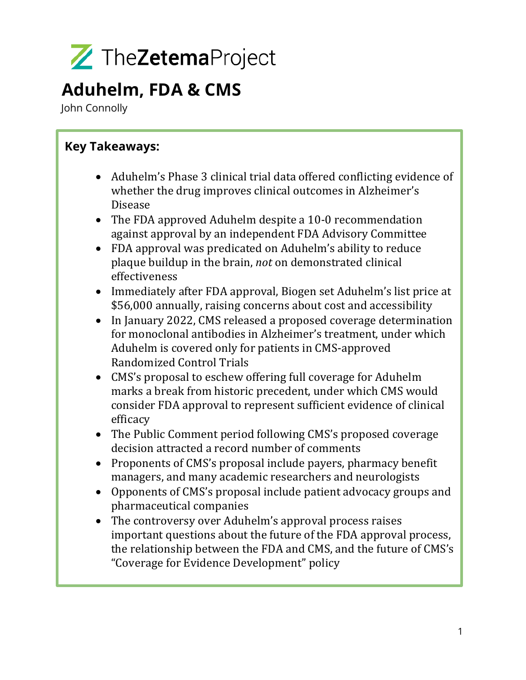

### **Aduhelm, FDA & CMS**

John Connolly

### **Key Takeaways:**

- Aduhelm's Phase 3 clinical trial data offered conflicting evidence of whether the drug improves clinical outcomes in Alzheimer's Disease
- The FDA approved Aduhelm despite a 10-0 recommendation against approval by an independent FDA Advisory Committee
- FDA approval was predicated on Aduhelm's ability to reduce plaque buildup in the brain, *not* on demonstrated clinical effectiveness
- Immediately after FDA approval, Biogen set Aduhelm's list price at \$56,000 annually, raising concerns about cost and accessibility
- In January 2022, CMS released a proposed coverage determination for monoclonal antibodies in Alzheimer's treatment, under which Aduhelm is covered only for patients in CMS-approved Randomized Control Trials
- CMS's proposal to eschew offering full coverage for Aduhelm marks a break from historic precedent, under which CMS would consider FDA approval to represent sufficient evidence of clinical efficacy
- The Public Comment period following CMS's proposed coverage decision attracted a record number of comments
- Proponents of CMS's proposal include payers, pharmacy benefit managers, and many academic researchers and neurologists
- Opponents of CMS's proposal include patient advocacy groups and pharmaceutical companies
- The controversy over Aduhelm's approval process raises important questions about the future of the FDA approval process, the relationship between the FDA and CMS, and the future of CMS's "Coverage for Evidence Development" policy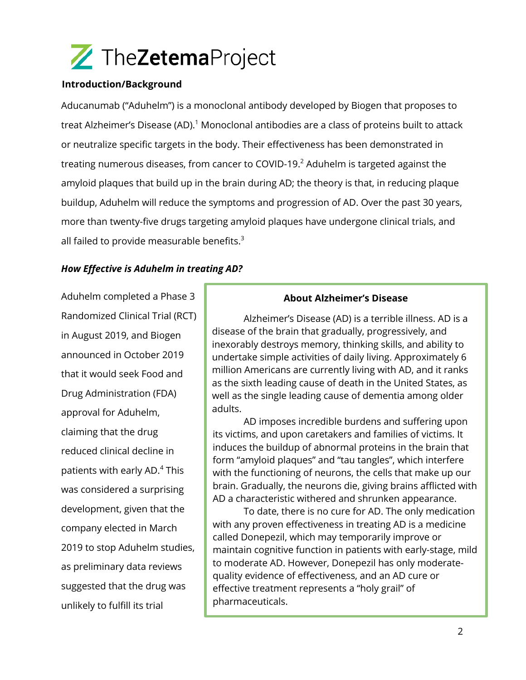

#### **Introduction/Background**

Aducanumab ("Aduhelm") is a monoclonal antibody developed by Biogen that proposes to treat Alzheimer's Disease (AD). <sup>1</sup> Monoclonal antibodies are a class of proteins built to attack or neutralize specific targets in the body. Their effectiveness has been demonstrated in treating numerous diseases, from cancer to COVID-19. $2$  Aduhelm is targeted against the amyloid plaques that build up in the brain during AD; the theory is that, in reducing plaque buildup, Aduhelm will reduce the symptoms and progression of AD. Over the past 30 years, more than twenty-five drugs targeting amyloid plaques have undergone clinical trials, and all failed to provide measurable benefits. $3$ 

#### *How Effective is Aduhelm in treating AD?*

Aduhelm completed a Phase 3 Randomized Clinical Trial (RCT) in August 2019, and Biogen announced in October 2019 that it would seek Food and Drug Administration (FDA) approval for Aduhelm, claiming that the drug reduced clinical decline in patients with early AD.<sup>4</sup> This was considered a surprising development, given that the company elected in March 2019 to stop Aduhelm studies, as preliminary data reviews suggested that the drug was unlikely to fulfill its trial

#### **About Alzheimer's Disease**

Alzheimer's Disease (AD) is a terrible illness. AD is a disease of the brain that gradually, progressively, and inexorably destroys memory, thinking skills, and ability to undertake simple activities of daily living. Approximately 6 million Americans are currently living with AD, and it ranks as the sixth leading cause of death in the United States, as well as the single leading cause of dementia among older adults.

AD imposes incredible burdens and suffering upon its victims, and upon caretakers and families of victims. It induces the buildup of abnormal proteins in the brain that form "amyloid plaques" and "tau tangles", which interfere with the functioning of neurons, the cells that make up our brain. Gradually, the neurons die, giving brains afflicted with AD a characteristic withered and shrunken appearance.

To date, there is no cure for AD. The only medication with any proven effectiveness in treating AD is a medicine called Donepezil, which may temporarily improve or maintain cognitive function in patients with early-stage, mild to moderate AD. However, Donepezil has only moderatequality evidence of effectiveness, and an AD cure or effective treatment represents a "holy grail" of pharmaceuticals.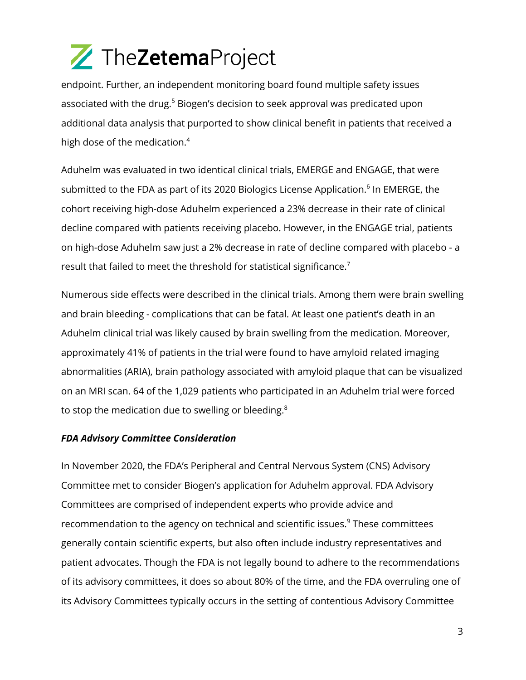endpoint. Further, an independent monitoring board found multiple safety issues associated with the drug.<sup>5</sup> Biogen's decision to seek approval was predicated upon additional data analysis that purported to show clinical benefit in patients that received a high dose of the medication.<sup>4</sup>

Aduhelm was evaluated in two identical clinical trials, EMERGE and ENGAGE, that were submitted to the FDA as part of its 2020 Biologics License Application.<sup>6</sup> In EMERGE, the cohort receiving high-dose Aduhelm experienced a 23% decrease in their rate of clinical decline compared with patients receiving placebo. However, in the ENGAGE trial, patients on high-dose Aduhelm saw just a 2% decrease in rate of decline compared with placebo - a result that failed to meet the threshold for statistical significance.<sup>7</sup>

Numerous side effects were described in the clinical trials. Among them were brain swelling and brain bleeding - complications that can be fatal. At least one patient's death in an Aduhelm clinical trial was likely caused by brain swelling from the medication. Moreover, approximately 41% of patients in the trial were found to have amyloid related imaging abnormalities (ARIA), brain pathology associated with amyloid plaque that can be visualized on an MRI scan. 64 of the 1,029 patients who participated in an Aduhelm trial were forced to stop the medication due to swelling or bleeding.<sup>8</sup>

#### *FDA Advisory Committee Consideration*

In November 2020, the FDA's Peripheral and Central Nervous System (CNS) Advisory Committee met to consider Biogen's application for Aduhelm approval. FDA Advisory Committees are comprised of independent experts who provide advice and recommendation to the agency on technical and scientific issues.<sup>9</sup> These committees generally contain scientific experts, but also often include industry representatives and patient advocates. Though the FDA is not legally bound to adhere to the recommendations of its advisory committees, it does so about 80% of the time, and the FDA overruling one of its Advisory Committees typically occurs in the setting of contentious Advisory Committee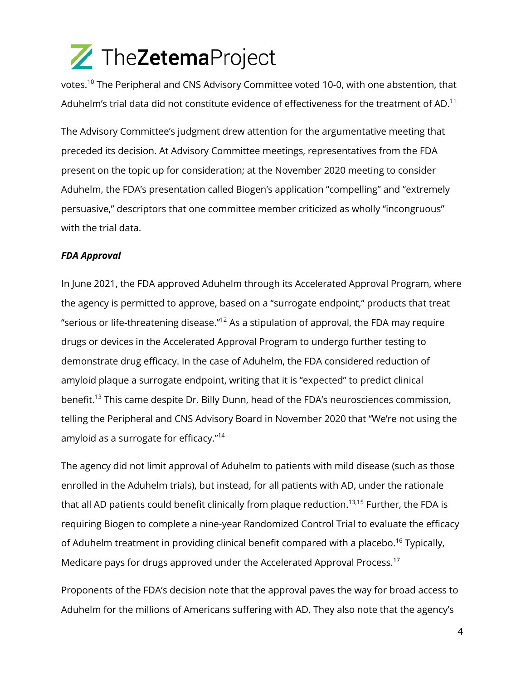votes.<sup>10</sup> The Peripheral and CNS Advisory Committee voted 10-0, with one abstention, that Aduhelm's trial data did not constitute evidence of effectiveness for the treatment of AD.<sup>11</sup>

The Advisory Committee's judgment drew attention for the argumentative meeting that preceded its decision. At Advisory Committee meetings, representatives from the FDA present on the topic up for consideration; at the November 2020 meeting to consider Aduhelm, the FDA's presentation called Biogen's application "compelling" and "extremely persuasive," descriptors that one committee member criticized as wholly "incongruous" with the trial data.

### *FDA Approval*

In June 2021, the FDA approved Aduhelm through its Accelerated Approval Program, where the agency is permitted to approve, based on a "surrogate endpoint," products that treat "serious or life-threatening disease."<sup>12</sup> As a stipulation of approval, the FDA may require drugs or devices in the Accelerated Approval Program to undergo further testing to demonstrate drug efficacy. In the case of Aduhelm, the FDA considered reduction of amyloid plaque a surrogate endpoint, writing that it is "expected" to predict clinical benefit.<sup>13</sup> This came despite Dr. Billy Dunn, head of the FDA's neurosciences commission, telling the Peripheral and CNS Advisory Board in November 2020 that "We're not using the amyloid as a surrogate for efficacy."14

The agency did not limit approval of Aduhelm to patients with mild disease (such as those enrolled in the Aduhelm trials), but instead, for all patients with AD, under the rationale that all AD patients could benefit clinically from plaque reduction.<sup>13,15</sup> Further, the FDA is requiring Biogen to complete a nine-year Randomized Control Trial to evaluate the efficacy of Aduhelm treatment in providing clinical benefit compared with a placebo.<sup>16</sup> Typically, Medicare pays for drugs approved under the Accelerated Approval Process.<sup>17</sup>

Proponents of the FDA's decision note that the approval paves the way for broad access to Aduhelm for the millions of Americans suffering with AD. They also note that the agency's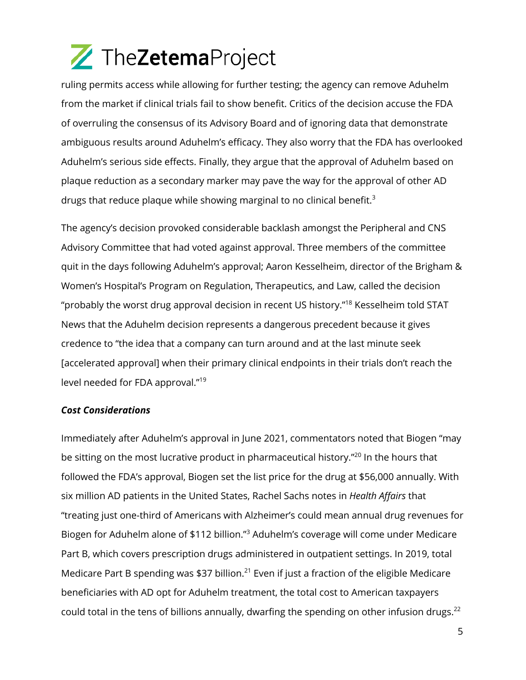ruling permits access while allowing for further testing; the agency can remove Aduhelm from the market if clinical trials fail to show benefit. Critics of the decision accuse the FDA of overruling the consensus of its Advisory Board and of ignoring data that demonstrate ambiguous results around Aduhelm's efficacy. They also worry that the FDA has overlooked Aduhelm's serious side effects. Finally, they argue that the approval of Aduhelm based on plaque reduction as a secondary marker may pave the way for the approval of other AD drugs that reduce plaque while showing marginal to no clinical benefit.<sup>3</sup>

The agency's decision provoked considerable backlash amongst the Peripheral and CNS Advisory Committee that had voted against approval. Three members of the committee quit in the days following Aduhelm's approval; Aaron Kesselheim, director of the Brigham & Women's Hospital's Program on Regulation, Therapeutics, and Law, called the decision "probably the worst drug approval decision in recent US history."<sup>18</sup> Kesselheim told STAT News that the Aduhelm decision represents a dangerous precedent because it gives credence to "the idea that a company can turn around and at the last minute seek [accelerated approval] when their primary clinical endpoints in their trials don't reach the level needed for FDA approval." 19

#### *Cost Considerations*

Immediately after Aduhelm's approval in June 2021, commentators noted that Biogen "may be sitting on the most lucrative product in pharmaceutical history."<sup>20</sup> In the hours that followed the FDA's approval, Biogen set the list price for the drug at \$56,000 annually. With six million AD patients in the United States, Rachel Sachs notes in *Health Affairs* that "treating just one-third of Americans with Alzheimer's could mean annual drug revenues for Biogen for Aduhelm alone of \$112 billion."<sup>3</sup> Aduhelm's coverage will come under Medicare Part B, which covers prescription drugs administered in outpatient settings. In 2019, total Medicare Part B spending was \$37 billion.<sup>21</sup> Even if just a fraction of the eligible Medicare beneficiaries with AD opt for Aduhelm treatment, the total cost to American taxpayers could total in the tens of billions annually, dwarfing the spending on other infusion drugs.<sup>22</sup>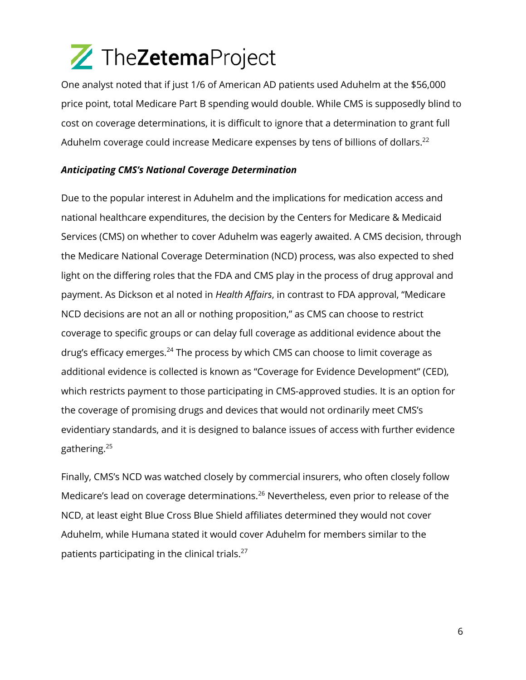One analyst noted that if just 1/6 of American AD patients used Aduhelm at the \$56,000 price point, total Medicare Part B spending would double. While CMS is supposedly blind to cost on coverage determinations, it is difficult to ignore that a determination to grant full Aduhelm coverage could increase Medicare expenses by tens of billions of dollars.<sup>22</sup>

### *Anticipating CMS's National Coverage Determination*

Due to the popular interest in Aduhelm and the implications for medication access and national healthcare expenditures, the decision by the Centers for Medicare & Medicaid Services (CMS) on whether to cover Aduhelm was eagerly awaited. A CMS decision, through the Medicare National Coverage Determination (NCD) process, was also expected to shed light on the differing roles that the FDA and CMS play in the process of drug approval and payment. As Dickson et al noted in *Health Affairs*, in contrast to FDA approval, "Medicare NCD decisions are not an all or nothing proposition," as CMS can choose to restrict coverage to specific groups or can delay full coverage as additional evidence about the drug's efficacy emerges. $^{24}$  The process by which CMS can choose to limit coverage as additional evidence is collected is known as "Coverage for Evidence Development" (CED), which restricts payment to those participating in CMS-approved studies. It is an option for the coverage of promising drugs and devices that would not ordinarily meet CMS's evidentiary standards, and it is designed to balance issues of access with further evidence gathering.25

Finally, CMS's NCD was watched closely by commercial insurers, who often closely follow Medicare's lead on coverage determinations.<sup>26</sup> Nevertheless, even prior to release of the NCD, at least eight Blue Cross Blue Shield affiliates determined they would not cover Aduhelm, while Humana stated it would cover Aduhelm for members similar to the patients participating in the clinical trials. $27$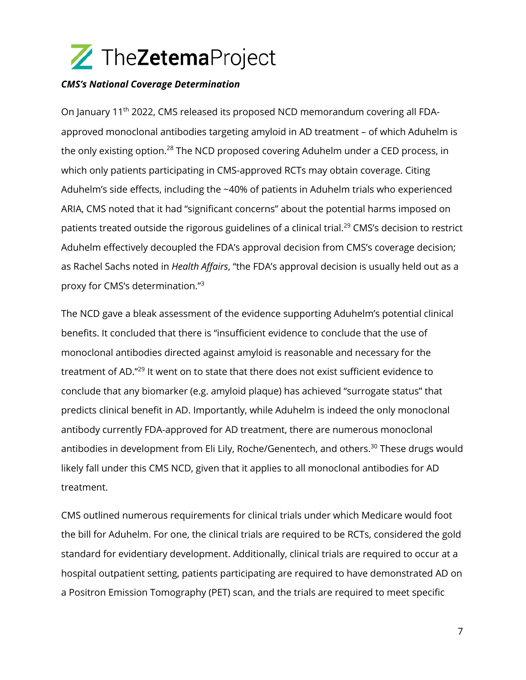

#### *CMS's National Coverage Determination*

On January 11<sup>th</sup> 2022, CMS released its proposed NCD memorandum covering all FDAapproved monoclonal antibodies targeting amyloid in AD treatment – of which Aduhelm is the only existing option.<sup>28</sup> The NCD proposed covering Aduhelm under a CED process, in which only patients participating in CMS-approved RCTs may obtain coverage. Citing Aduhelm's side effects, including the ~40% of patients in Aduhelm trials who experienced ARIA, CMS noted that it had "significant concerns" about the potential harms imposed on patients treated outside the rigorous guidelines of a clinical trial.<sup>29</sup> CMS's decision to restrict Aduhelm effectively decoupled the FDA's approval decision from CMS's coverage decision; as Rachel Sachs noted in *Health Affairs*, "the FDA's approval decision is usually held out as a proxy for CMS's determination."<sup>3</sup>

The NCD gave a bleak assessment of the evidence supporting Aduhelm's potential clinical benefits. It concluded that there is "insufficient evidence to conclude that the use of monoclonal antibodies directed against amyloid is reasonable and necessary for the treatment of AD."<sup>29</sup> It went on to state that there does not exist sufficient evidence to conclude that any biomarker (e.g. amyloid plaque) has achieved "surrogate status" that predicts clinical benefit in AD. Importantly, while Aduhelm is indeed the only monoclonal antibody currently FDA-approved for AD treatment, there are numerous monoclonal antibodies in development from Eli Lily, Roche/Genentech, and others.<sup>30</sup> These drugs would likely fall under this CMS NCD, given that it applies to all monoclonal antibodies for AD treatment.

CMS outlined numerous requirements for clinical trials under which Medicare would foot the bill for Aduhelm. For one, the clinical trials are required to be RCTs, considered the gold standard for evidentiary development. Additionally, clinical trials are required to occur at a hospital outpatient setting, patients participating are required to have demonstrated AD on a Positron Emission Tomography (PET) scan, and the trials are required to meet specific

7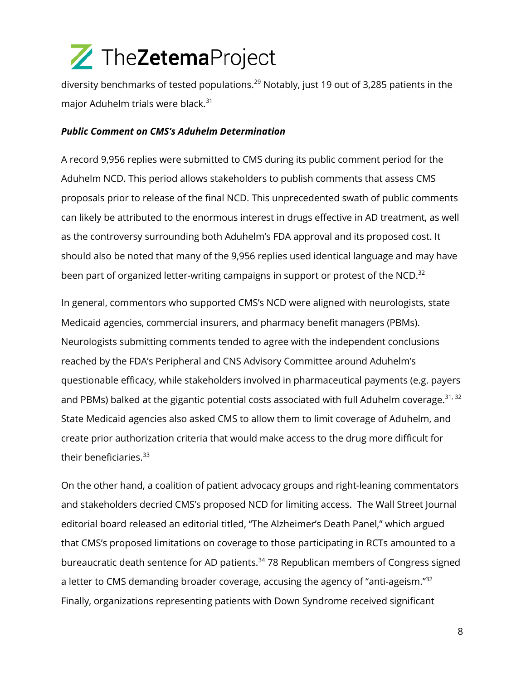diversity benchmarks of tested populations.<sup>29</sup> Notably, just 19 out of 3,285 patients in the major Aduhelm trials were black.<sup>31</sup>

#### *Public Comment on CMS's Aduhelm Determination*

A record 9,956 replies were submitted to CMS during its public comment period for the Aduhelm NCD. This period allows stakeholders to publish comments that assess CMS proposals prior to release of the final NCD. This unprecedented swath of public comments can likely be attributed to the enormous interest in drugs effective in AD treatment, as well as the controversy surrounding both Aduhelm's FDA approval and its proposed cost. It should also be noted that many of the 9,956 replies used identical language and may have been part of organized letter-writing campaigns in support or protest of the NCD.<sup>32</sup>

In general, commentors who supported CMS's NCD were aligned with neurologists, state Medicaid agencies, commercial insurers, and pharmacy benefit managers (PBMs). Neurologists submitting comments tended to agree with the independent conclusions reached by the FDA's Peripheral and CNS Advisory Committee around Aduhelm's questionable efficacy, while stakeholders involved in pharmaceutical payments (e.g. payers and PBMs) balked at the gigantic potential costs associated with full Aduhelm coverage.<sup>31, 32</sup> State Medicaid agencies also asked CMS to allow them to limit coverage of Aduhelm, and create prior authorization criteria that would make access to the drug more difficult for their beneficiaries.<sup>33</sup>

On the other hand, a coalition of patient advocacy groups and right-leaning commentators and stakeholders decried CMS's proposed NCD for limiting access. The Wall Street Journal editorial board released an editorial titled, "The Alzheimer's Death Panel," which argued that CMS's proposed limitations on coverage to those participating in RCTs amounted to a bureaucratic death sentence for AD patients.<sup>34</sup> 78 Republican members of Congress signed a letter to CMS demanding broader coverage, accusing the agency of "anti-ageism." $32$ Finally, organizations representing patients with Down Syndrome received significant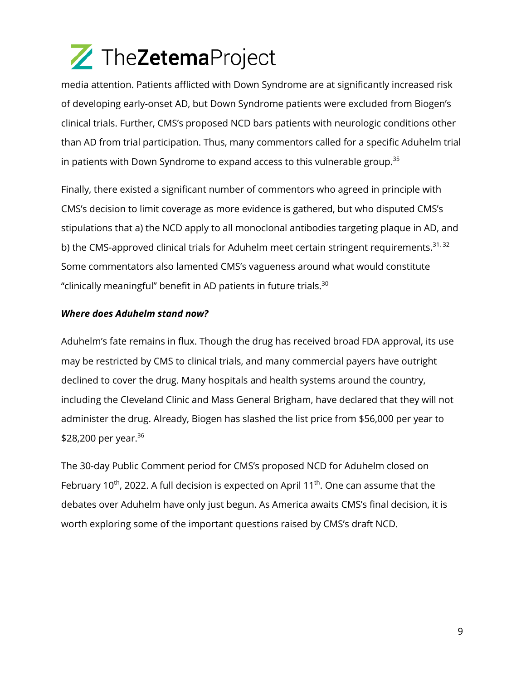media attention. Patients afflicted with Down Syndrome are at significantly increased risk of developing early-onset AD, but Down Syndrome patients were excluded from Biogen's clinical trials. Further, CMS's proposed NCD bars patients with neurologic conditions other than AD from trial participation. Thus, many commentors called for a specific Aduhelm trial in patients with Down Syndrome to expand access to this vulnerable group. $^{\rm 35}$ 

Finally, there existed a significant number of commentors who agreed in principle with CMS's decision to limit coverage as more evidence is gathered, but who disputed CMS's stipulations that a) the NCD apply to all monoclonal antibodies targeting plaque in AD, and b) the CMS-approved clinical trials for Aduhelm meet certain stringent requirements. $31, 32$ Some commentators also lamented CMS's vagueness around what would constitute "clinically meaningful" benefit in AD patients in future trials. $30$ 

### *Where does Aduhelm stand now?*

Aduhelm's fate remains in flux. Though the drug has received broad FDA approval, its use may be restricted by CMS to clinical trials, and many commercial payers have outright declined to cover the drug. Many hospitals and health systems around the country, including the Cleveland Clinic and Mass General Brigham, have declared that they will not administer the drug. Already, Biogen has slashed the list price from \$56,000 per year to \$28,200 per year.  $36$ 

The 30-day Public Comment period for CMS's proposed NCD for Aduhelm closed on February 10<sup>th</sup>, 2022. A full decision is expected on April 11<sup>th</sup>. One can assume that the debates over Aduhelm have only just begun. As America awaits CMS's final decision, it is worth exploring some of the important questions raised by CMS's draft NCD.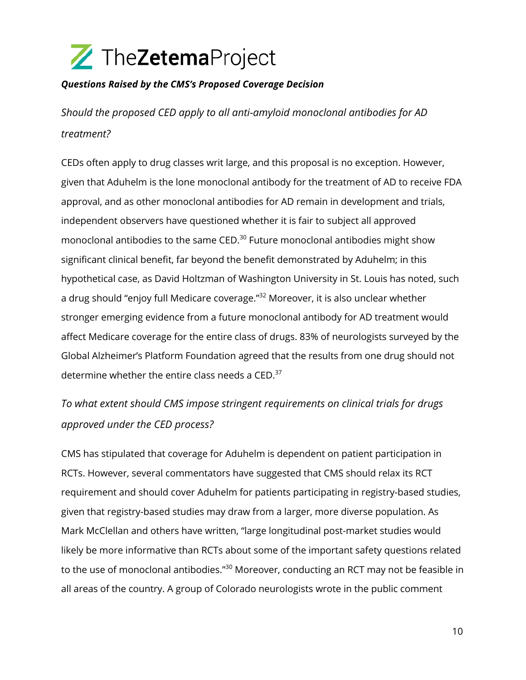

### *Questions Raised by the CMS's Proposed Coverage Decision*

*Should the proposed CED apply to all anti-amyloid monoclonal antibodies for AD treatment?*

CEDs often apply to drug classes writ large, and this proposal is no exception. However, given that Aduhelm is the lone monoclonal antibody for the treatment of AD to receive FDA approval, and as other monoclonal antibodies for AD remain in development and trials, independent observers have questioned whether it is fair to subject all approved monoclonal antibodies to the same CED.<sup>30</sup> Future monoclonal antibodies might show significant clinical benefit, far beyond the benefit demonstrated by Aduhelm; in this hypothetical case, as David Holtzman of Washington University in St. Louis has noted, such a drug should "enjoy full Medicare coverage."<sup>32</sup> Moreover, it is also unclear whether stronger emerging evidence from a future monoclonal antibody for AD treatment would affect Medicare coverage for the entire class of drugs. 83% of neurologists surveyed by the Global Alzheimer's Platform Foundation agreed that the results from one drug should not determine whether the entire class needs a CED. $37$ 

*To what extent should CMS impose stringent requirements on clinical trials for drugs approved under the CED process?*

CMS has stipulated that coverage for Aduhelm is dependent on patient participation in RCTs. However, several commentators have suggested that CMS should relax its RCT requirement and should cover Aduhelm for patients participating in registry-based studies, given that registry-based studies may draw from a larger, more diverse population. As Mark McClellan and others have written, "large longitudinal post-market studies would likely be more informative than RCTs about some of the important safety questions related to the use of monoclonal antibodies."<sup>30</sup> Moreover, conducting an RCT may not be feasible in all areas of the country. A group of Colorado neurologists wrote in the public comment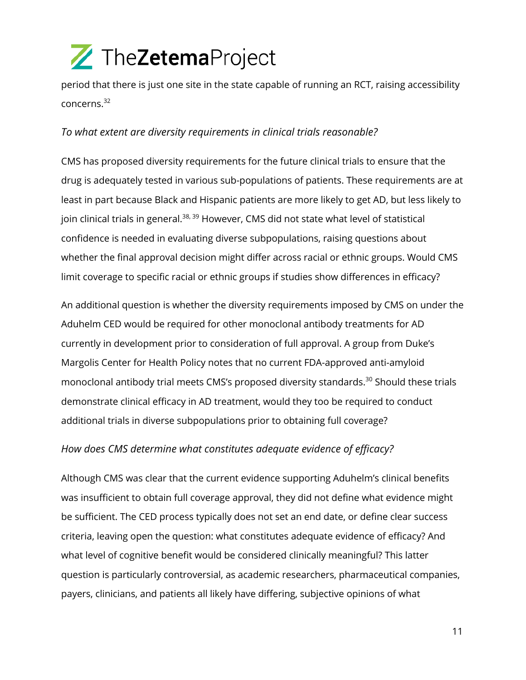period that there is just one site in the state capable of running an RCT, raising accessibility concerns.<sup>32</sup>

### *To what extent are diversity requirements in clinical trials reasonable?*

CMS has proposed diversity requirements for the future clinical trials to ensure that the drug is adequately tested in various sub-populations of patients. These requirements are at least in part because Black and Hispanic patients are more likely to get AD, but less likely to join clinical trials in general.<sup>38, 39</sup> However, CMS did not state what level of statistical confidence is needed in evaluating diverse subpopulations, raising questions about whether the final approval decision might differ across racial or ethnic groups. Would CMS limit coverage to specific racial or ethnic groups if studies show differences in efficacy?

An additional question is whether the diversity requirements imposed by CMS on under the Aduhelm CED would be required for other monoclonal antibody treatments for AD currently in development prior to consideration of full approval. A group from Duke's Margolis Center for Health Policy notes that no current FDA-approved anti-amyloid monoclonal antibody trial meets CMS's proposed diversity standards.<sup>30</sup> Should these trials demonstrate clinical efficacy in AD treatment, would they too be required to conduct additional trials in diverse subpopulations prior to obtaining full coverage?

#### *How does CMS determine what constitutes adequate evidence of efficacy?*

Although CMS was clear that the current evidence supporting Aduhelm's clinical benefits was insufficient to obtain full coverage approval, they did not define what evidence might be sufficient. The CED process typically does not set an end date, or define clear success criteria, leaving open the question: what constitutes adequate evidence of efficacy? And what level of cognitive benefit would be considered clinically meaningful? This latter question is particularly controversial, as academic researchers, pharmaceutical companies, payers, clinicians, and patients all likely have differing, subjective opinions of what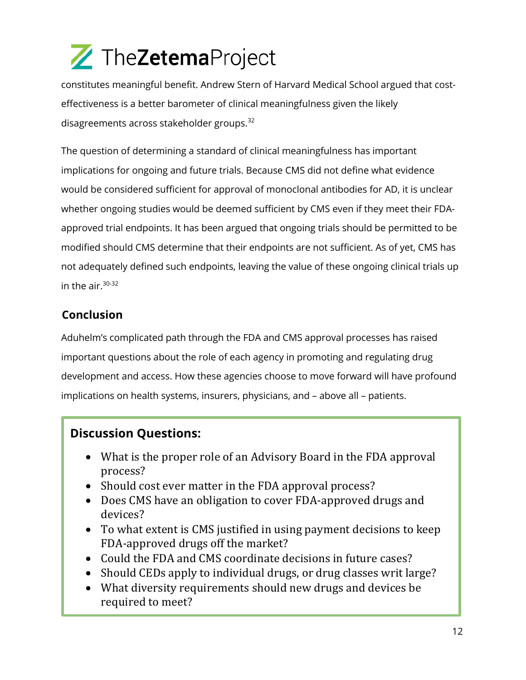constitutes meaningful benefit. Andrew Stern of Harvard Medical School argued that costeffectiveness is a better barometer of clinical meaningfulness given the likely disagreements across stakeholder groups.<sup>32</sup>

The question of determining a standard of clinical meaningfulness has important implications for ongoing and future trials. Because CMS did not define what evidence would be considered sufficient for approval of monoclonal antibodies for AD, it is unclear whether ongoing studies would be deemed sufficient by CMS even if they meet their FDAapproved trial endpoints. It has been argued that ongoing trials should be permitted to be modified should CMS determine that their endpoints are not sufficient. As of yet, CMS has not adequately defined such endpoints, leaving the value of these ongoing clinical trials up in the air. $30-32$ 

### **Conclusion**

Aduhelm's complicated path through the FDA and CMS approval processes has raised important questions about the role of each agency in promoting and regulating drug development and access. How these agencies choose to move forward will have profound implications on health systems, insurers, physicians, and – above all – patients.

### **Discussion Questions:**

- What is the proper role of an Advisory Board in the FDA approval process?
- Should cost ever matter in the FDA approval process?
- Does CMS have an obligation to cover FDA-approved drugs and devices?
- To what extent is CMS justified in using payment decisions to keep FDA-approved drugs off the market?
- Could the FDA and CMS coordinate decisions in future cases?
- Should CEDs apply to individual drugs, or drug classes writ large?
- What diversity requirements should new drugs and devices be required to meet?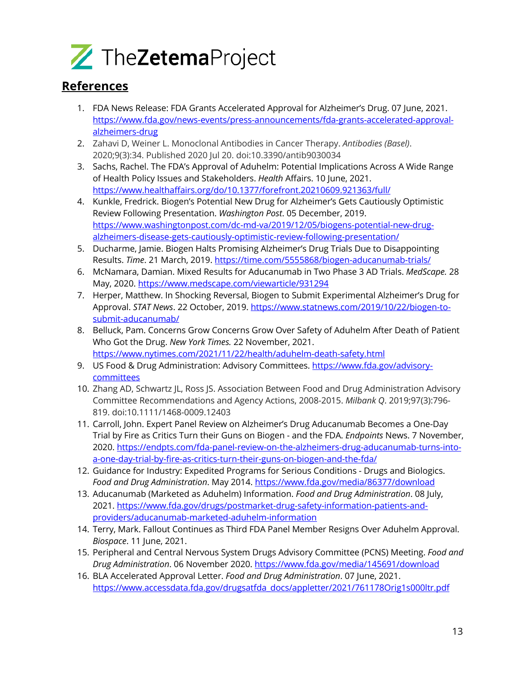

### **References**

- 1. FDA News Release: FDA Grants Accelerated Approval for Alzheimer's Drug. 07 June, 2021. https://www.fda.gov/news-events/press-announcements/fda-grants-accelerated-approvalalzheimers-drug
- 2. Zahavi D, Weiner L. Monoclonal Antibodies in Cancer Therapy. *Antibodies (Basel)*. 2020;9(3):34. Published 2020 Jul 20. doi:10.3390/antib9030034
- 3. Sachs, Rachel. The FDA's Approval of Aduhelm: Potential Implications Across A Wide Range of Health Policy Issues and Stakeholders. *Health* Affairs. 10 June, 2021. https://www.healthaffairs.org/do/10.1377/forefront.20210609.921363/full/
- 4. Kunkle, Fredrick. Biogen's Potential New Drug for Alzheimer's Gets Cautiously Optimistic Review Following Presentation. *Washington Post*. 05 December, 2019. https://www.washingtonpost.com/dc-md-va/2019/12/05/biogens-potential-new-drugalzheimers-disease-gets-cautiously-optimistic-review-following-presentation/
- 5. Ducharme, Jamie. Biogen Halts Promising Alzheimer's Drug Trials Due to Disappointing Results. *Time*. 21 March, 2019. https://time.com/5555868/biogen-aducanumab-trials/
- 6. McNamara, Damian. Mixed Results for Aducanumab in Two Phase 3 AD Trials. *MedScape.* 28 May, 2020. https://www.medscape.com/viewarticle/931294
- 7. Herper, Matthew. In Shocking Reversal, Biogen to Submit Experimental Alzheimer's Drug for Approval. *STAT News*. 22 October, 2019. https://www.statnews.com/2019/10/22/biogen-tosubmit-aducanumab/
- 8. Belluck, Pam. Concerns Grow Concerns Grow Over Safety of Aduhelm After Death of Patient Who Got the Drug. *New York Times.* 22 November, 2021. https://www.nytimes.com/2021/11/22/health/aduhelm-death-safety.html
- 9. US Food & Drug Administration: Advisory Committees. https://www.fda.gov/advisory**committees**
- 10. Zhang AD, Schwartz JL, Ross JS. Association Between Food and Drug Administration Advisory Committee Recommendations and Agency Actions, 2008-2015. *Milbank Q*. 2019;97(3):796- 819. doi:10.1111/1468-0009.12403
- 11. Carroll, John. Expert Panel Review on Alzheimer's Drug Aducanumab Becomes a One-Day Trial by Fire as Critics Turn their Guns on Biogen - and the FDA. *Endpoints* News. 7 November, 2020. https://endpts.com/fda-panel-review-on-the-alzheimers-drug-aducanumab-turns-intoa-one-day-trial-by-fire-as-critics-turn-their-guns-on-biogen-and-the-fda/
- 12. Guidance for Industry: Expedited Programs for Serious Conditions Drugs and Biologics. *Food and Drug Administration*. May 2014. https://www.fda.gov/media/86377/download
- 13. Aducanumab (Marketed as Aduhelm) Information. *Food and Drug Administration*. 08 July, 2021. https://www.fda.gov/drugs/postmarket-drug-safety-information-patients-andproviders/aducanumab-marketed-aduhelm-information
- 14. Terry, Mark. Fallout Continues as Third FDA Panel Member Resigns Over Aduhelm Approval. *Biospace*. 11 June, 2021.
- 15. Peripheral and Central Nervous System Drugs Advisory Committee (PCNS) Meeting. *Food and Drug Administration*. 06 November 2020. https://www.fda.gov/media/145691/download
- 16. BLA Accelerated Approval Letter. *Food and Drug Administration*. 07 June, 2021. https://www.accessdata.fda.gov/drugsatfda\_docs/appletter/2021/761178Orig1s000ltr.pdf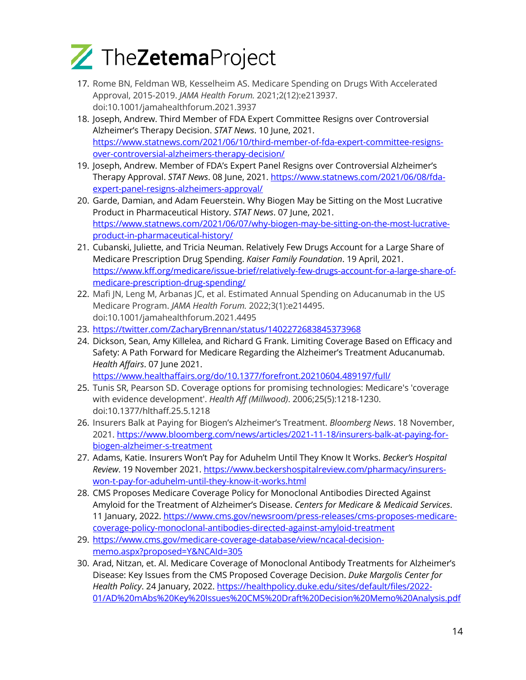

- 17. Rome BN, Feldman WB, Kesselheim AS. Medicare Spending on Drugs With Accelerated Approval, 2015-2019. *JAMA Health Forum.* 2021;2(12):e213937. doi:10.1001/jamahealthforum.2021.3937
- 18. Joseph, Andrew. Third Member of FDA Expert Committee Resigns over Controversial Alzheimer's Therapy Decision. *STAT News*. 10 June, 2021. https://www.statnews.com/2021/06/10/third-member-of-fda-expert-committee-resignsover-controversial-alzheimers-therapy-decision/
- 19. Joseph, Andrew. Member of FDA's Expert Panel Resigns over Controversial Alzheimer's Therapy Approval. *STAT News*. 08 June, 2021. https://www.statnews.com/2021/06/08/fdaexpert-panel-resigns-alzheimers-approval/
- 20. Garde, Damian, and Adam Feuerstein. Why Biogen May be Sitting on the Most Lucrative Product in Pharmaceutical History. *STAT News*. 07 June, 2021. https://www.statnews.com/2021/06/07/why-biogen-may-be-sitting-on-the-most-lucrativeproduct-in-pharmaceutical-history/
- 21. Cubanski, Juliette, and Tricia Neuman. Relatively Few Drugs Account for a Large Share of Medicare Prescription Drug Spending. *Kaiser Family Foundation*. 19 April, 2021. https://www.kff.org/medicare/issue-brief/relatively-few-drugs-account-for-a-large-share-ofmedicare-prescription-drug-spending/
- 22. Mafi JN, Leng M, Arbanas JC, et al. Estimated Annual Spending on Aducanumab in the US Medicare Program. *JAMA Health Forum.* 2022;3(1):e214495. doi:10.1001/jamahealthforum.2021.4495
- 23. https://twitter.com/ZacharyBrennan/status/1402272683845373968
- 24. Dickson, Sean, Amy Killelea, and Richard G Frank. Limiting Coverage Based on Efficacy and Safety: A Path Forward for Medicare Regarding the Alzheimer's Treatment Aducanumab. *Health Affairs*. 07 June 2021.

https://www.healthaffairs.org/do/10.1377/forefront.20210604.489197/full/

- 25. Tunis SR, Pearson SD. Coverage options for promising technologies: Medicare's 'coverage with evidence development'. *Health Aff (Millwood)*. 2006;25(5):1218-1230. doi:10.1377/hlthaff.25.5.1218
- 26. Insurers Balk at Paying for Biogen's Alzheimer's Treatment. *Bloomberg News*. 18 November, 2021. https://www.bloomberg.com/news/articles/2021-11-18/insurers-balk-at-paying-forbiogen-alzheimer-s-treatment
- 27. Adams, Katie. Insurers Won't Pay for Aduhelm Until They Know It Works. *Becker's Hospital Review*. 19 November 2021. https://www.beckershospitalreview.com/pharmacy/insurerswon-t-pay-for-aduhelm-until-they-know-it-works.html
- 28. CMS Proposes Medicare Coverage Policy for Monoclonal Antibodies Directed Against Amyloid for the Treatment of Alzheimer's Disease. *Centers for Medicare & Medicaid Services*. 11 January, 2022. https://www.cms.gov/newsroom/press-releases/cms-proposes-medicarecoverage-policy-monoclonal-antibodies-directed-against-amyloid-treatment
- 29. https://www.cms.gov/medicare-coverage-database/view/ncacal-decisionmemo.aspx?proposed=Y&NCAId=305
- 30. Arad, Nitzan, et. Al. Medicare Coverage of Monoclonal Antibody Treatments for Alzheimer's Disease: Key Issues from the CMS Proposed Coverage Decision. *Duke Margolis Center for Health Policy*. 24 January, 2022. https://healthpolicy.duke.edu/sites/default/files/2022- 01/AD%20mAbs%20Key%20Issues%20CMS%20Draft%20Decision%20Memo%20Analysis.pdf